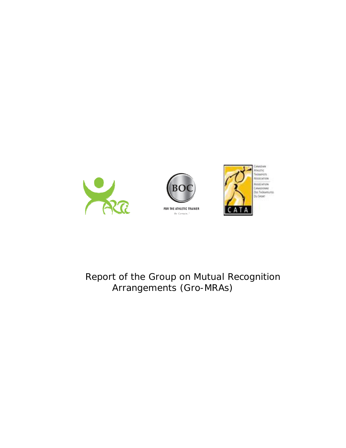





# Report of the Group on Mutual Recognition Arrangements (Gro-MRAs)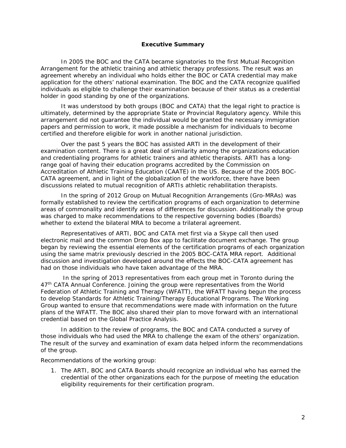#### **Executive Summary**

In 2005 the BOC and the CATA became signatories to the first Mutual Recognition Arrangement for the athletic training and athletic therapy professions. The result was an agreement whereby an individual who holds either the BOC or CATA credential may make application for the others' national examination. The BOC and the CATA recognize qualified individuals as eligible to challenge their examination because of their status as a credential holder in good standing by one of the organizations.

It was understood by both groups (BOC and CATA) that the legal right to practice is ultimately, determined by the appropriate State or Provincial Regulatory agency. While this arrangement did not guarantee the individual would be granted the necessary immigration papers and permission to work, it made possible a mechanism for individuals to become certified and therefore eligible for work in another national jurisdiction.

Over the past 5 years the BOC has assisted ARTI in the development of their examination content. There is a great deal of similarity among the organizations education and credentialing programs for athletic trainers and athletic therapists. ARTI has a longrange goal of having their education programs accredited by the Commission on Accreditation of Athletic Training Education (CAATE) in the US. Because of the 2005 BOC-CATA agreement, and in light of the globalization of the workforce, there have been discussions related to mutual recognition of ARTIs athletic rehabilitation therapists.

In the spring of 2012 Group on Mutual Recognition Arrangements (Gro-MRAs) was formally established to review the certification programs of each organization to determine areas of commonality and identify areas of differences for discussion. Additionally the group was charged to make recommendations to the respective governing bodies (Boards) whether to extend the bilateral MRA to become a trilateral agreement.

Representatives of ARTI, BOC and CATA met first via a Skype call then used electronic mail and the common Drop Box app to facilitate document exchange. The group began by reviewing the essential elements of the certification programs of each organization using the same matrix previously descried in the 2005 BOC-CATA MRA report. Additional discussion and investigation developed around the effects the BOC-CATA agreement has had on those individuals who have taken advantage of the MRA.

 In the spring of 2013 representatives from each group met in Toronto during the 47<sup>th</sup> CATA Annual Conference. Joining the group were representatives from the World Federation of Athletic Training and Therapy (WFATT), the WFATT having begun the process to develop *Standards for Athletic Training/Therapy Educational Programs*. The Working Group wanted to ensure that recommendations were made with information on the future plans of the WFATT. The BOC also shared their plan to move forward with an international credential based on the Global Practice Analysis.

In addition to the review of programs, the BOC and CATA conducted a survey of those individuals who had used the MRA to challenge the exam of the others' organization. The result of the survey and examination of exam data helped inform the recommendations of the group.

Recommendations of the working group:

1. The ARTI, BOC and CATA Boards should recognize an individual who has earned the credential of the other organizations each for the purpose of meeting the education eligibility requirements for their certification program.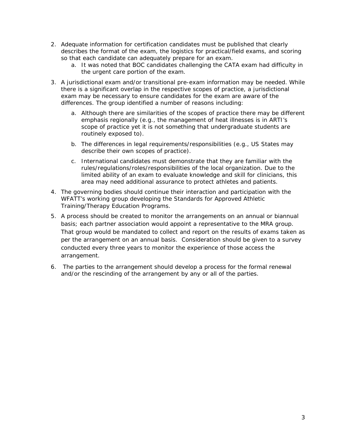- 2. Adequate information for certification candidates must be published that clearly describes the format of the exam, the logistics for practical/field exams, and scoring so that each candidate can adequately prepare for an exam.
	- a. It was noted that BOC candidates challenging the CATA exam had difficulty in the urgent care portion of the exam.
- 3. A jurisdictional exam and/or transitional pre-exam information may be needed. While there is a significant overlap in the respective scopes of practice, a jurisdictional exam may be necessary to ensure candidates for the exam are aware of the differences. The group identified a number of reasons including:
	- a. Although there are similarities of the scopes of practice there may be different emphasis regionally (e.g., the management of heat illnesses is in ARTI's scope of practice yet it is not something that undergraduate students are routinely exposed to).
	- b. The differences in legal requirements/responsibilities (e.g., US States may describe their own scopes of practice).
	- c. International candidates must demonstrate that they are familiar with the rules/regulations/roles/responsibilities of the local organization. Due to the limited ability of an exam to evaluate knowledge and skill for clinicians, this area may need additional assurance to protect athletes and patients.
- *4.* The governing bodies should continue their interaction and participation with the WFATT's working group developing the *Standards for Approved Athletic Training/Therapy Education Programs.*
- 5. A process should be created to monitor the arrangements on an annual or biannual basis; each partner association would appoint a representative to the MRA group. That group would be mandated to collect and report on the results of exams taken as per the arrangement on an annual basis. Consideration should be given to a survey conducted every three years to monitor the experience of those access the arrangement.
- *6.* The parties to the arrangement should develop a process for the formal renewal and/or the rescinding of the arrangement by any or all of the parties.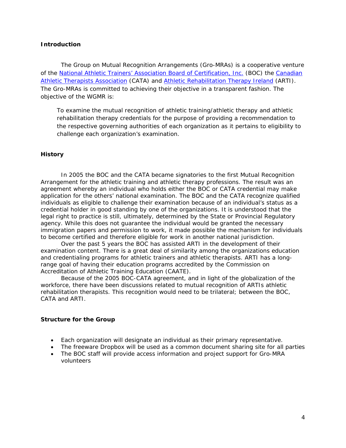#### **Introduction**

The Group on Mutual Recognition Arrangements (Gro-MRAs) is a cooperative venture of the National Athletic Trainers' Association Board of Certification, Inc. (BOC) the Canadian Athletic Therapists Association (CATA) and Athletic Rehabilitation Therapy Ireland (ARTI). The Gro-MRAs is committed to achieving their objective in a transparent fashion. The objective of the WGMR is:

*To examine the mutual recognition of athletic training/athletic therapy and athletic rehabilitation therapy credentials for the purpose of providing a recommendation to the respective governing authorities of each organization as it pertains to eligibility to challenge each organization's examination.* 

#### **History**

In 2005 the BOC and the CATA became signatories to the first Mutual Recognition Arrangement for the athletic training and athletic therapy professions. The result was an agreement whereby an individual who holds either the BOC or CATA credential may make application for the others' national examination. The BOC and the CATA recognize qualified individuals as eligible to challenge their examination because of an individual's status as a credential holder in good standing by one of the organizations. It is understood that the legal right to practice is still, ultimately, determined by the State or Provincial Regulatory agency. While this does not guarantee the individual would be granted the necessary immigration papers and permission to work, it made possible the mechanism for individuals to become certified and therefore eligible for work in another national jurisdiction.

Over the past 5 years the BOC has assisted ARTI in the development of their examination content. There is a great deal of similarity among the organizations education and credentialing programs for athletic trainers and athletic therapists. ARTI has a longrange goal of having their education programs accredited by the Commission on Accreditation of Athletic Training Education (CAATE).

Because of the 2005 BOC-CATA agreement, and in light of the globalization of the workforce, there have been discussions related to mutual recognition of ARTIs athletic rehabilitation therapists. This recognition would need to be trilateral; between the BOC, CATA and ARTI.

#### **Structure for the Group**

- Each organization will designate an individual as their primary representative.
- The freeware Dropbox will be used as a common document sharing site for all parties
- The BOC staff will provide access information and project support for Gro-MRA volunteers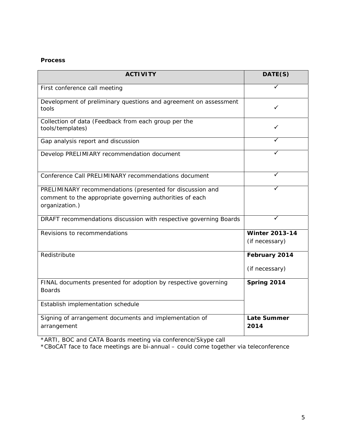### **Process**

| <b>ACTIVITY</b>                                                                                                                         | DATE(S)                    |
|-----------------------------------------------------------------------------------------------------------------------------------------|----------------------------|
| First conference call meeting                                                                                                           |                            |
| Development of preliminary questions and agreement on assessment<br>tools                                                               | ✓                          |
| Collection of data (Feedback from each group per the<br>tools/templates)                                                                | ✓                          |
| Gap analysis report and discussion                                                                                                      |                            |
| Develop PRELIMIARY recommendation document                                                                                              |                            |
| Conference Call PRELIMINARY recommendations document                                                                                    |                            |
| PRELIMINARY recommendations (presented for discussion and<br>comment to the appropriate governing authorities of each<br>organization.) |                            |
| DRAFT recommendations discussion with respective governing Boards                                                                       |                            |
| Revisions to recommendations                                                                                                            | <b>Winter 2013-14</b>      |
|                                                                                                                                         | (if necessary)             |
| Redistribute                                                                                                                            | February 2014              |
|                                                                                                                                         | (if necessary)             |
| FINAL documents presented for adoption by respective governing<br><b>Boards</b>                                                         | Spring 2014                |
| Establish implementation schedule                                                                                                       |                            |
| Signing of arrangement documents and implementation of<br>arrangement                                                                   | <b>Late Summer</b><br>2014 |

\*ARTI, BOC and CATA Boards meeting via conference/Skype call

\*CBoCAT face to face meetings are bi-annual – could come together via teleconference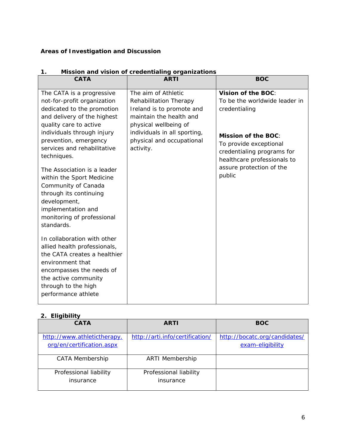## **Areas of Investigation and Discussion**

| <b>CATA</b>                                                                                                                                                                                                                                                                                                                                                                                                                                                                                                                                                                                                                | <b>ARTI</b>                                                                                                                                                                                              | <b>BOC</b>                                                                                                                                                                                                                      |
|----------------------------------------------------------------------------------------------------------------------------------------------------------------------------------------------------------------------------------------------------------------------------------------------------------------------------------------------------------------------------------------------------------------------------------------------------------------------------------------------------------------------------------------------------------------------------------------------------------------------------|----------------------------------------------------------------------------------------------------------------------------------------------------------------------------------------------------------|---------------------------------------------------------------------------------------------------------------------------------------------------------------------------------------------------------------------------------|
| The CATA is a progressive<br>not-for-profit organization<br>dedicated to the promotion<br>and delivery of the highest<br>quality care to active<br>individuals through injury<br>prevention, emergency<br>services and rehabilitative<br>techniques.<br>The Association is a leader<br>within the Sport Medicine<br>Community of Canada<br>through its continuing<br>development,<br>implementation and<br>monitoring of professional<br>standards.<br>In collaboration with other<br>allied health professionals,<br>the CATA creates a healthier<br>environment that<br>encompasses the needs of<br>the active community | The aim of Athletic<br>Rehabilitation Therapy<br>Ireland is to promote and<br>maintain the health and<br>physical wellbeing of<br>individuals in all sporting,<br>physical and occupational<br>activity. | Vision of the BOC:<br>To be the worldwide leader in<br>credentialing<br><b>Mission of the BOC:</b><br>To provide exceptional<br>credentialing programs for<br>healthcare professionals to<br>assure protection of the<br>public |
| through to the high<br>performance athlete                                                                                                                                                                                                                                                                                                                                                                                                                                                                                                                                                                                 |                                                                                                                                                                                                          |                                                                                                                                                                                                                                 |

### **1. Mission and vision of credentialing organizations**

### **2. Eligibility**

| <b>CATA</b>                                              | <b>ARTI</b>                         | <b>BOC</b>                                        |
|----------------------------------------------------------|-------------------------------------|---------------------------------------------------|
| http://www.athletictherapy.<br>org/en/certification.aspx | http://arti.info/certification/     | http://bocatc.org/candidates/<br>exam-eligibility |
| <b>CATA Membership</b>                                   | <b>ARTI Membership</b>              |                                                   |
| Professional liability<br>insurance                      | Professional liability<br>insurance |                                                   |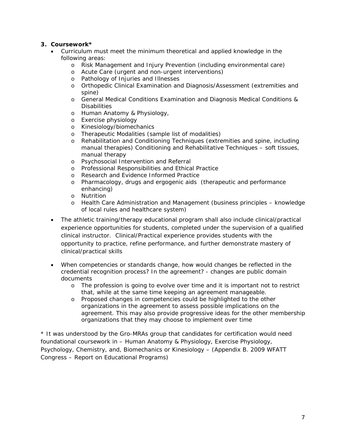### **3. Coursework\***

- *Curriculum must meet the minimum theoretical and applied knowledge in the following areas:* 
	- o Risk Management and Injury Prevention (including environmental care)
	- o Acute Care (urgent and non-urgent interventions)
	- o Pathology of Injuries and Illnesses
	- o Orthopedic Clinical Examination and Diagnosis/Assessment (extremities and spine)
	- o General Medical Conditions Examination and Diagnosis Medical Conditions & **Disabilities**
	- o Human Anatomy & Physiology,
	- o Exercise physiology
	- o Kinesiology/biomechanics
	- o Therapeutic Modalities (sample list of modalities)
	- o Rehabilitation and Conditioning Techniques (extremities and spine, including manual therapies) Conditioning and Rehabilitative Techniques – soft tissues, manual therapy
	- o Psychosocial Intervention and Referral
	- o Professional Responsibilities and Ethical Practice
	- o Research and Evidence Informed Practice
	- o Pharmacology, drugs and ergogenic aids (therapeutic and performance enhancing)
	- o Nutrition
	- o Health Care Administration and Management (business principles knowledge of local rules and healthcare system)
- The athletic training/therapy educational program shall also include clinical/practical experience opportunities for students, completed under the supervision of a qualified clinical instructor. Clinical/Practical experience provides students with the opportunity to practice, refine performance, and further demonstrate mastery of clinical/practical skills
- *When competencies or standards change, how would changes be reflected in the credential recognition process? In the agreement*? - changes are public domain documents
	- o The profession is going to evolve over time and it is important not to restrict that, while at the same time keeping an agreement manageable.
	- o Proposed changes in competencies could be highlighted to the other organizations in the agreement to assess possible implications on the agreement. This may also provide progressive ideas for the other membership organizations that they may choose to implement over time

\* *It was understood by the Gro-MRAs group that candidates for certification would need foundational coursework in – Human Anatomy & Physiology, Exercise Physiology, Psychology, Chemistry, and, Biomechanics or Kinesiology – (Appendix B. 2009 WFATT* Congress – Report on Educational Programs)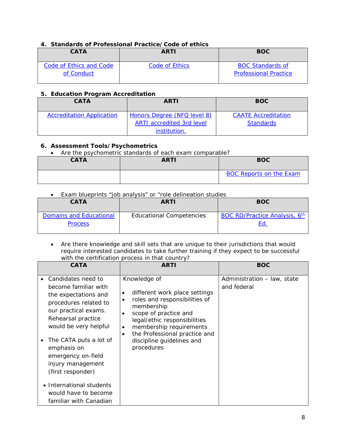### **4. Standards of Professional Practice/Code of ethics**

| <b>CATA</b>             | <b>ARTI</b>    | <b>BOC</b>                   |
|-------------------------|----------------|------------------------------|
| Code of Ethics and Code | Code of Ethics | <b>BOC Standards of</b>      |
| of Conduct              |                | <b>Professional Practice</b> |

### **5. Education Program Accreditation**

| <b>CATA</b>                      | <b>ARTI</b>                                                                     | <b>BOC</b>                                     |
|----------------------------------|---------------------------------------------------------------------------------|------------------------------------------------|
| <b>Accreditation Application</b> | Honors Degree (NFQ level 8)<br><b>ARTI</b> accredited 3rd level<br>institution. | <b>CAATE Accreditation</b><br><b>Standards</b> |

### **6. Assessment Tools/Psychometrics**

*Are the psychometric standards of each exam comparable?* 

| <b>CATA</b> | ARTI | <b>BOC</b>                     |
|-------------|------|--------------------------------|
|             |      | <b>BOC Reports on the Exam</b> |

*Exam blueprints "job analysis" or "role delineation studies* 

| <b>CATA</b>                               | <b>ARTI</b>                     | <b>BOC</b>                    |
|-------------------------------------------|---------------------------------|-------------------------------|
| Domains and Educational<br><b>Process</b> | <b>Educational Competencies</b> | BOC RD/Practice Analysis, 6th |

 Are there knowledge and skill sets that are unique to their jurisdictions that would require interested candidates to take further training if they expect to be successful with the certification process in that country?

| <b>CATA</b>                                                                                                                                                                                                                                                                 | <b>ARTI</b>                                                                                                                                                                                                                                                                            | <b>BOC</b>                                 |
|-----------------------------------------------------------------------------------------------------------------------------------------------------------------------------------------------------------------------------------------------------------------------------|----------------------------------------------------------------------------------------------------------------------------------------------------------------------------------------------------------------------------------------------------------------------------------------|--------------------------------------------|
| Candidates need to<br>become familiar with<br>the expectations and<br>procedures related to<br>our practical exams.<br>Rehearsal practice<br>would be very helpful<br>The CATA puts a lot of<br>emphasis on<br>emergency on-field<br>injury management<br>(first responder) | Knowledge of<br>different work place settings<br>roles and responsibilities of<br>membership<br>scope of practice and<br>legal/ethic responsibilities<br>membership requirements<br>$\bullet$<br>the Professional practice and<br>$\bullet$<br>discipline guidelines and<br>procedures | Administration - law, state<br>and federal |
| • International students<br>would have to become<br>familiar with Canadian                                                                                                                                                                                                  |                                                                                                                                                                                                                                                                                        |                                            |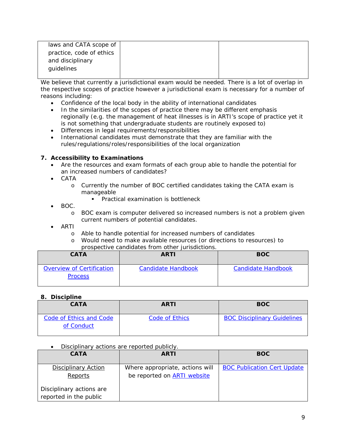| laws and CATA scope of   |  |
|--------------------------|--|
| practice, code of ethics |  |
| and disciplinary         |  |
| guidelines               |  |
|                          |  |

*We believe that currently a jurisdictional exam would be needed. There is a lot of overlap in the respective scopes of practice however a jurisdictional exam is necessary for a number of reasons including:* 

- *Confidence of the local body in the ability of international candidates*
- *In the similarities of the scopes of practice there may be different emphasis regionally (e.g. the management of heat illnesses is in ARTI's scope of practice yet it is not something that undergraduate students are routinely exposed to)*
- *Differences in legal requirements/responsibilities*
- *International candidates must demonstrate that they are familiar with the rules/regulations/roles/responsibilities of the local organization*

### **7. Accessibility to Examinations**

- *Are the resources and exam formats of each group able to handle the potential for an increased numbers of candidates?*
- *CATA* 
	- o *Currently the number of BOC certified candidates taking the CATA exam is manageable* 
		- *Practical examination is bottleneck*
- *BOC.* 
	- o *BOC exam is computer delivered so increased numbers is not a problem given current numbers of potential candidates.*
- *ARTI* 
	- o *Able to handle potential for increased numbers of candidates*
	- o *Would need to make available resources (or directions to resources) to prospective candidates from other jurisdictions.*

| <b>CATA</b>                                 | <b>ARTI</b>        | <b>BOC</b>                |
|---------------------------------------------|--------------------|---------------------------|
| Overview of Certification<br><b>Process</b> | Candidate Handbook | <b>Candidate Handbook</b> |

### **8. Discipline**

| <b>CATA</b>                           | <b>ARTI</b>    | <b>BOC</b>                         |
|---------------------------------------|----------------|------------------------------------|
| Code of Ethics and Code<br>of Conduct | Code of Ethics | <b>BOC Disciplinary Guidelines</b> |

*Disciplinary actions are reported publicly.* 

| <b>CATA</b>                                        | <b>ARTI</b>                                                           | <b>BOC</b>                         |
|----------------------------------------------------|-----------------------------------------------------------------------|------------------------------------|
| <b>Disciplinary Action</b><br>Reports              | Where appropriate, actions will<br>be reported on <b>ARTI</b> website | <b>BOC Publication Cert Update</b> |
| Disciplinary actions are<br>reported in the public |                                                                       |                                    |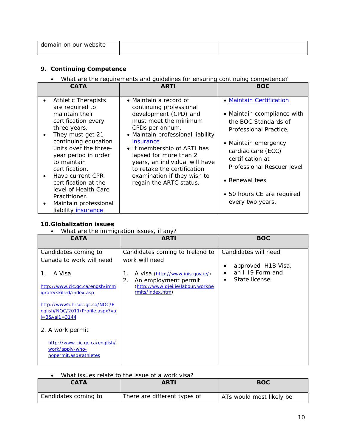| . .<br>omain on our<br>website<br>doi |  |
|---------------------------------------|--|
|                                       |  |

### **9. Continuing Competence**

*What are the requirements and guidelines for ensuring continuing competence?* 

| <b>CATA</b>                                                                                                                                                                                                                                                                                                                                                               | <b>ARTI</b>                                                                                                                                                                                                                                                                                                                                                  | <b>BOC</b>                                                                                                                                                                                                                                                                           |
|---------------------------------------------------------------------------------------------------------------------------------------------------------------------------------------------------------------------------------------------------------------------------------------------------------------------------------------------------------------------------|--------------------------------------------------------------------------------------------------------------------------------------------------------------------------------------------------------------------------------------------------------------------------------------------------------------------------------------------------------------|--------------------------------------------------------------------------------------------------------------------------------------------------------------------------------------------------------------------------------------------------------------------------------------|
| <b>Athletic Therapists</b><br>are required to<br>maintain their<br>certification every<br>three years.<br>They must get 21<br>continuing education<br>units over the three-<br>year period in order<br>to maintain<br>certification.<br>Have current CPR<br>certification at the<br>level of Health Care<br>Practitioner.<br>Maintain professional<br>liability insurance | • Maintain a record of<br>continuing professional<br>development (CPD) and<br>must meet the minimum<br>CPDs per annum.<br>• Maintain professional liability<br>insurance<br>• If membership of ARTI has<br>lapsed for more than 2<br>years, an individual will have<br>to retake the certification<br>examination if they wish to<br>regain the ARTC status. | • Maintain Certification<br>• Maintain ccompliance with<br>the <i>BOC</i> Standards of<br>Professional Practice,<br>• Maintain emergency<br>cardiac care (ECC)<br>certification at<br>Professional Rescuer level<br>• Renewal fees<br>• 50 hours CE are required<br>every two years. |

### **10.Globalization issues**

*What are the immigration issues, if any?* 

| <u>a. e. e. g.</u><br><b>CATA</b>                                                        | $\frac{1}{2}$<br><b>ARTI</b>                                                                                                  | <b>BOC</b>                                 |
|------------------------------------------------------------------------------------------|-------------------------------------------------------------------------------------------------------------------------------|--------------------------------------------|
| Candidates coming to<br>Canada to work will need                                         | Candidates coming to Ireland to<br>work will need                                                                             | Candidates will need<br>approved H1B Visa, |
| A Visa<br>1.<br>http://www.cic.gc.ca/engsh/imm<br>jgrate/skilled/index.asp               | A visa (http://www.inis.gov.ie/)<br>1.<br>2.<br>An employment permit<br>(http://www.djei.ie/labour/workpe<br>rmits/index.htm) | an I-19 Form and<br>State license          |
| http://www5.hrsdc.gc.ca/NOC/E<br>nglish/NOC/2011/Profile.aspx?va<br>$1 = 38$ val1 = 3144 |                                                                                                                               |                                            |
| 2. A work permit                                                                         |                                                                                                                               |                                            |
| http://www.cic.gc.ca/english/<br>work/apply-who-<br>nopermit.asp#athletes                |                                                                                                                               |                                            |

*What issues relate to the issue of a work visa?* 

| <b>CATA</b>          | <b>ARTI</b>                  | <b>BOC</b>               |
|----------------------|------------------------------|--------------------------|
| Candidates coming to | There are different types of | ATs would most likely be |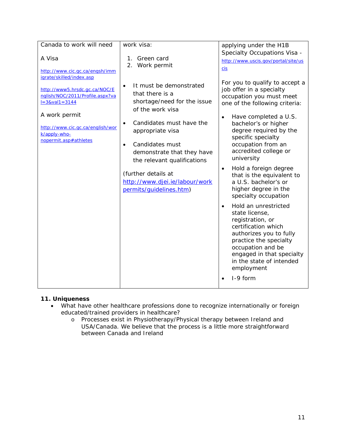| Canada to work will need                                                                                                                                                                                                                                      | work visa:                                                                                                                                                                                                                                                                                                                                                                                        | applying under the H1B                                                                                                                                                                                                                                                                                                                                                                                                                                                                                                                                                                                                                            |
|---------------------------------------------------------------------------------------------------------------------------------------------------------------------------------------------------------------------------------------------------------------|---------------------------------------------------------------------------------------------------------------------------------------------------------------------------------------------------------------------------------------------------------------------------------------------------------------------------------------------------------------------------------------------------|---------------------------------------------------------------------------------------------------------------------------------------------------------------------------------------------------------------------------------------------------------------------------------------------------------------------------------------------------------------------------------------------------------------------------------------------------------------------------------------------------------------------------------------------------------------------------------------------------------------------------------------------------|
|                                                                                                                                                                                                                                                               |                                                                                                                                                                                                                                                                                                                                                                                                   | Specialty Occupations Visa -                                                                                                                                                                                                                                                                                                                                                                                                                                                                                                                                                                                                                      |
|                                                                                                                                                                                                                                                               |                                                                                                                                                                                                                                                                                                                                                                                                   | http://www.uscis.gov/portal/site/us                                                                                                                                                                                                                                                                                                                                                                                                                                                                                                                                                                                                               |
| A Visa<br>http://www.cic.gc.ca/engsh/imm<br>igrate/skilled/index.asp<br>http://www5.hrsdc.gc.ca/NOC/E<br>nglish/NOC/2011/Profile.aspx?va<br>$1 = 3& value 3144$<br>A work permit<br>http://www.cic.gc.ca/english/wor<br>k/apply-who-<br>nopermit.asp#athletes | Green card<br>1.<br>2.<br>Work permit<br>It must be demonstrated<br>$\bullet$<br>that there is a<br>shortage/need for the issue<br>of the work visa<br>Candidates must have the<br>$\bullet$<br>appropriate visa<br>Candidates must<br>$\bullet$<br>demonstrate that they have<br>the relevant qualifications<br>(further details at<br>http://www.djei.ie/labour/work<br>permits/guidelines.htm) | cis<br>For you to qualify to accept a<br>job offer in a specialty<br>occupation you must meet<br>one of the following criteria:<br>Have completed a U.S.<br>$\bullet$<br>bachelor's or higher<br>degree required by the<br>specific specialty<br>occupation from an<br>accredited college or<br>university<br>Hold a foreign degree<br>that is the equivalent to<br>a U.S. bachelor's or<br>higher degree in the<br>specialty occupation<br>Hold an unrestricted<br>$\bullet$<br>state license,<br>registration, or<br>certification which<br>authorizes you to fully<br>practice the specialty<br>occupation and be<br>engaged in that specialty |
|                                                                                                                                                                                                                                                               |                                                                                                                                                                                                                                                                                                                                                                                                   | in the state of intended<br>employment                                                                                                                                                                                                                                                                                                                                                                                                                                                                                                                                                                                                            |
|                                                                                                                                                                                                                                                               |                                                                                                                                                                                                                                                                                                                                                                                                   | I-9 form                                                                                                                                                                                                                                                                                                                                                                                                                                                                                                                                                                                                                                          |
|                                                                                                                                                                                                                                                               |                                                                                                                                                                                                                                                                                                                                                                                                   |                                                                                                                                                                                                                                                                                                                                                                                                                                                                                                                                                                                                                                                   |

### **11. Uniqueness**

- *What have other healthcare professions done to recognize internationally or foreign educated/trained providers in healthcare?* 
	- o Processes exist in Physiotherapy/Physical therapy between Ireland and USA/Canada. We believe that the process is a little more straightforward between Canada and Ireland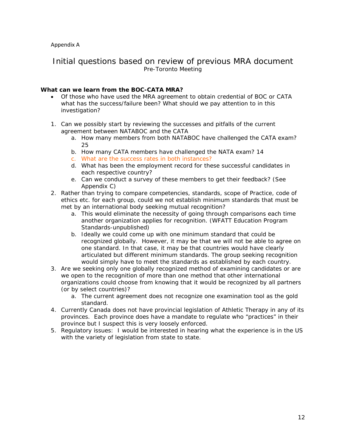### Appendix A

### Initial questions based on review of previous MRA document Pre-Toronto Meeting

### **What can we learn from the BOC-CATA MRA?**

- Of those who have used the MRA agreement to obtain credential of BOC or CATA what has the success/failure been? What should we pay attention to in this investigation?
- 1. Can we possibly start by reviewing the successes and pitfalls of the current agreement between NATABOC and the CATA
	- a. How many members from both NATABOC have challenged the CATA exam? 25
	- b. How many CATA members have challenged the NATA exam? 14
	- c. What are the success rates in both instances?
	- d. What has been the employment record for these successful candidates in each respective country?
	- e. Can we conduct a survey of these members to get their feedback? (See Appendix C)
- 2. Rather than trying to compare competencies, standards, scope of Practice, code of ethics etc. for each group, could we not establish minimum standards that must be met by an international body seeking mutual recognition?
	- a. This would eliminate the necessity of going through comparisons each time another organization applies for recognition. *(WFATT Education Program Standards-unpublished)*
	- b. Ideally we could come up with one minimum standard that could be recognized globally. However, it may be that we will not be able to agree on one standard. In that case, it may be that countries would have clearly articulated but different minimum standards. The group seeking recognition would simply have to meet the standards as established by each country.
- 3. Are we seeking only one globally recognized method of examining candidates or are we open to the recognition of more than one method that other international organizations could choose from knowing that it would be recognized by all partners (or by select countries)?
	- a. The current agreement does not recognize one examination tool as the gold standard.
- 4. Currently Canada does not have provincial legislation of Athletic Therapy in any of its provinces. Each province does have a mandate to regulate who "practices" in their province but I suspect this is very loosely enforced.
- 5. Regulatory issues: I would be interested in hearing what the experience is in the US with the variety of legislation from state to state.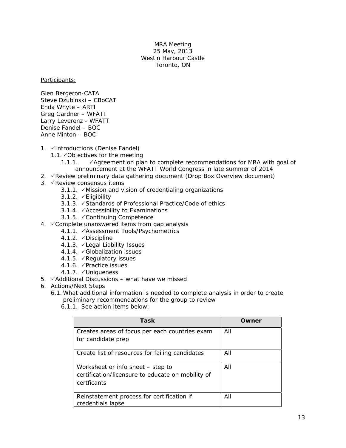#### MRA Meeting 25 May, 2013 Westin Harbour Castle Toronto, ON

Participants:

Glen Bergeron-CATA Steve Dzubinski – CBoCAT Enda Whyte – ARTI Greg Gardner – WFATT Larry Leverenz - WFATT Denise Fandel – BOC Anne Minton – BOC

- 1. VIntroductions (Denise Fandel)
	- 1.1. Objectives for the meeting
		- 1.1.1.  $\checkmark$  Agreement on plan to complete recommendations for MRA with goal of announcement at the WFATT World Congress in late summer of 2014
- 2.  $\sqrt{R}$  Review preliminary data gathering document (Drop Box Overview document)
- 3.  $\checkmark$  Review consensus items
	- 3.1.1. ∕Mission and vision of credentialing organizations
	- 3.1.2.  $\checkmark$  Eligibility
	- 3.1.3. √Standards of Professional Practice/Code of ethics
	- 3.1.4. ∕Accessibility to Examinations
	- 3.1.5. Continuing Competence
- 4. Complete unanswered items from gap analysis
	- 4.1.1. **Assessment Tools/Psychometrics**
	- 4.1.2. <del></del> ∕ Discipline
	- 4.1.3. VLegal Liability Issues
	- 4.1.4. Globalization issues
	- 4.1.5.  $\sqrt{\text{Requatory}}$  issues
	- 4.1.6. <del></del>∕ Practice issues
	- 4.1.7. √Uniqueness
- 5.  $\checkmark$  Additional Discussions what have we missed
- 6. Actions/Next Steps
	- 6.1.What additional information is needed to complete analysis in order to create preliminary recommendations for the group to review
		- 6.1.1. See action items below:

| <b>Task</b>                                                     | Owner |
|-----------------------------------------------------------------|-------|
| Creates areas of focus per each countries exam                  | All   |
| for candidate prep                                              |       |
| Create list of resources for failing candidates                 | All   |
| Worksheet or info sheet – step to                               | All   |
| certification/licensure to educate on mobility of               |       |
| certficants                                                     |       |
| Reinstatement process for certification if<br>credentials lapse | All   |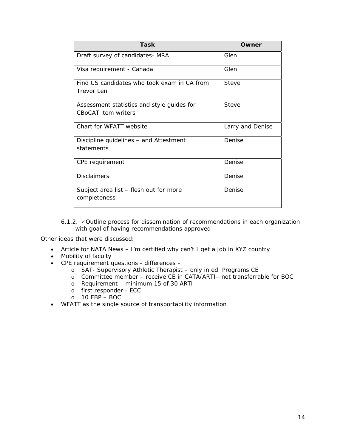| Task                                                              | Owner            |
|-------------------------------------------------------------------|------------------|
| Draft survey of candidates- MRA                                   | Glen             |
| Visa requirement - Canada                                         | Glen             |
| Find US candidates who took exam in CA from<br>Trevor Len         | Steve            |
| Assessment statistics and style guides for<br>CBoCAT item writers | Steve            |
| Chart for WFATT website                                           | Larry and Denise |
| Discipline guidelines – and Attestment<br>statements              | Denise           |
| CPE requirement                                                   | Denise           |
| <b>Disclaimers</b>                                                | Denise           |
| Subject area list - flesh out for more<br>completeness            | Denise           |

6.1.2. VOutline process for dissemination of recommendations in each organization with goal of having recommendations approved

Other ideas that were discussed:

- Article for NATA News I'm certified why can't I get a job in XYZ country
- Mobility of faculty
- CPE requirement questions differences
	- o SAT- Supervisory Athletic Therapist only in ed. Programs CE
	- o Committee member receive CE in CATA/ARTI– not transferrable for BOC
	- o Requirement minimum 15 of 30 ARTI
	- o first responder ECC
	- o 10 EBP BOC
- WFATT as the single source of transportability information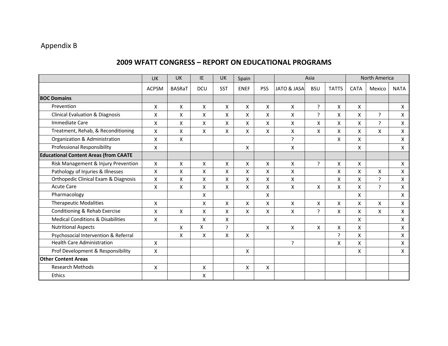# Appendix B

### **2009 WFATT CONGRESS – REPORT ON EDUCATIONAL PROGRAMS**

|                                              | UK                 | UK            | IE         | UK           | Spain       |            | Asia         |            | North America |                           |        |                    |
|----------------------------------------------|--------------------|---------------|------------|--------------|-------------|------------|--------------|------------|---------------|---------------------------|--------|--------------------|
|                                              | <b>ACPSM</b>       | <b>BASRaT</b> | <b>DCU</b> | <b>SST</b>   | <b>ENEF</b> | <b>PSS</b> | JATO & JASA  | <b>BSU</b> | <b>TATTS</b>  | <b>CATA</b>               | Mexico | <b>NATA</b>        |
| <b>BOC Domains</b>                           |                    |               |            |              |             |            |              |            |               |                           |        |                    |
| Prevention                                   | X                  | X             | X          | X            | X           | X          | X            | ?          | X             | X                         |        | X                  |
| <b>Clinical Evaluation &amp; Diagnosis</b>   | X                  | X             | X          | X            | X           | X          | X            | ?          | X             | $\mathsf{X}$              | P.     | X                  |
| <b>Immediate Care</b>                        | X                  | X             | X          | X            | X           | X          | X            | X          | X             | $\boldsymbol{\mathsf{X}}$ | 2      | X                  |
| Treatment, Rehab, & Reconditioning           | X                  | X             | X          | X            | X           | X          | X            | X          | X             | X                         | X      | Χ                  |
| Organization & Administration                | X                  | X             |            |              |             |            | <sup>2</sup> |            | X             | X                         |        | $\pmb{\mathsf{X}}$ |
| Professional Responsibility                  | X                  |               |            |              | X           |            | X            |            |               | X                         |        | X                  |
| <b>Educational Content Areas (from CAATE</b> |                    |               |            |              |             |            |              |            |               |                           |        |                    |
| Risk Management & Injury Prevention          | X                  | X             | X          | X            | X           | X          | X            | ?          | X             | $\mathsf{X}$              |        | X                  |
| Pathology of Injuries & Illnesses            | X                  | X             | X          | X            | X           | X          | X            |            | Χ             | X                         | X      | X                  |
| Orthopedic Clinical Exam & Diagnosis         | X                  | X             | X          | X            | X           | X          | X            |            | X             | X                         | 2      | X                  |
| <b>Acute Care</b>                            | X                  | X             | X          | X            | X           | X          | X            | X          | X             | X                         | 2      | X                  |
| Pharmacology                                 |                    |               | X          |              |             | X          |              |            |               | X                         |        | X                  |
| <b>Therapeutic Modalities</b>                | X                  |               | X          | X            | X           | X          | X            | X          | X             | X                         | X      | X                  |
| Conditioning & Rehab Exercise                | $\pmb{\mathsf{X}}$ | X             | X          | X            | X           | X          | X            | ?          | X             | $\mathsf{X}$              | X      | X                  |
| <b>Medical Conditions &amp; Disabilities</b> | X                  |               | X          | X            |             |            |              |            |               | $\mathsf{x}$              |        | X                  |
| <b>Nutritional Aspects</b>                   |                    | X             | X          | $\mathbf{P}$ |             | X          | X            | X          | X             | X                         |        | X                  |
| Psychosocial Intervention & Referral         |                    | X             | X          | X            | X           |            |              |            | 2             | X                         |        | X                  |
| <b>Health Care Administration</b>            | $\mathsf{x}$       |               |            |              |             |            | 5.           |            | Χ             | X                         |        | Χ                  |
| Prof Development & Responsibility            | X                  |               |            |              | X           |            |              |            |               | X                         |        | Χ                  |
| <b>Other Content Areas</b>                   |                    |               |            |              |             |            |              |            |               |                           |        |                    |
| <b>Research Methods</b>                      | X                  |               | X          |              | X           | X          |              |            |               |                           |        |                    |
| Ethics                                       |                    |               | X          |              |             |            |              |            |               |                           |        |                    |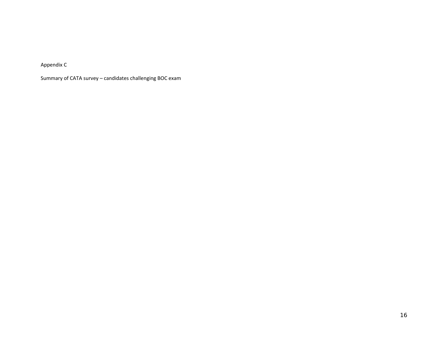Appendix C

Summary of CATA survey – candidates challenging BOC exam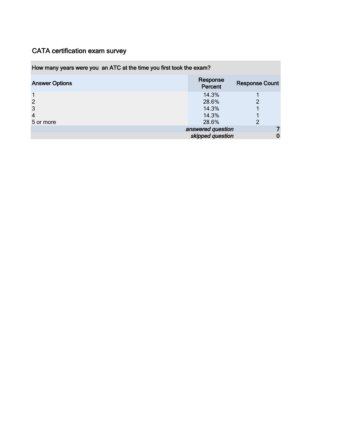### How many years were you an ATC at the time you first took the exam?

| <b>Answer Options</b> | Response<br>Percent | <b>Response Count</b> |
|-----------------------|---------------------|-----------------------|
|                       | 14.3%               |                       |
| 2                     | 28.6%               | $\overline{2}$        |
| 3                     | 14.3%               |                       |
| $\overline{4}$        | 14.3%               |                       |
| 5 or more             | 28.6%               | $\overline{2}$        |
|                       | answered question   |                       |
|                       | skipped question    |                       |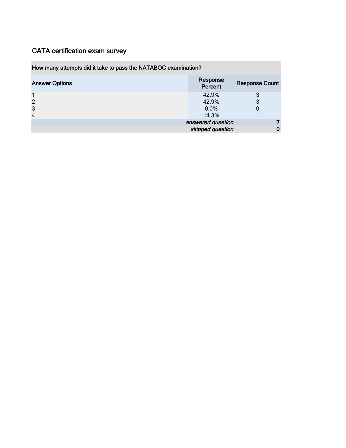### How many attempts did it take to pass the NATABOC examination?

| <b>Answer Options</b> | Response<br>Percent | <b>Response Count</b> |
|-----------------------|---------------------|-----------------------|
|                       | 42.9%               | 3                     |
| 2                     | 42.9%               | 3                     |
| 3                     | $0.0\%$             |                       |
| $\overline{4}$        | 14.3%               |                       |
|                       | answered question   |                       |
|                       | skipped question    |                       |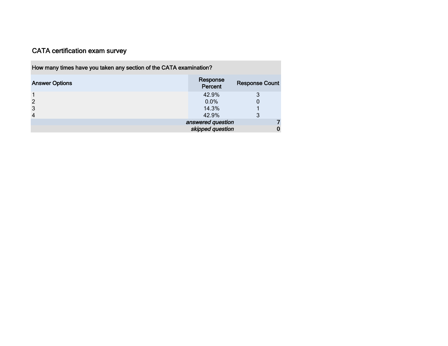| How many times have you taken any section of the CATA examination? |                     |                       |  |  |
|--------------------------------------------------------------------|---------------------|-----------------------|--|--|
| <b>Answer Options</b>                                              | Response<br>Percent | <b>Response Count</b> |  |  |
|                                                                    | 42.9%               |                       |  |  |
|                                                                    | $0.0\%$             |                       |  |  |
|                                                                    | 14.3%               |                       |  |  |
|                                                                    | 42.9%               |                       |  |  |
| answered question                                                  |                     |                       |  |  |
| skipped question                                                   |                     |                       |  |  |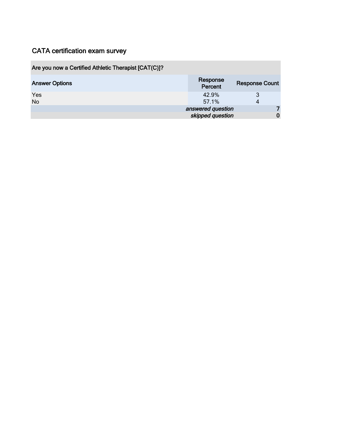## Are you now a Certified Athletic Therapist [CAT(C)]?

| <b>Answer Options</b> | Response<br>Percent | <b>Response Count</b> |
|-----------------------|---------------------|-----------------------|
| Yes                   | 42.9%               |                       |
| <b>No</b>             | 57.1%               |                       |
|                       | answered question   |                       |
|                       | skipped question    |                       |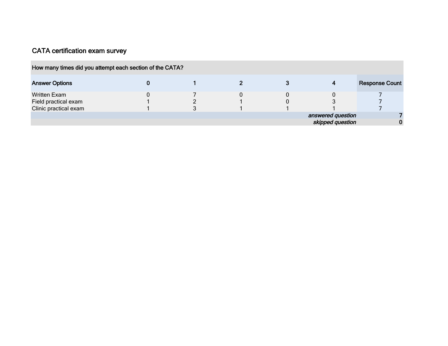**COL** 

| How many times did you attempt each section of the CATA? |  |  |                   |                       |
|----------------------------------------------------------|--|--|-------------------|-----------------------|
| <b>Answer Options</b>                                    |  |  | 4                 | <b>Response Count</b> |
| <b>Written Exam</b>                                      |  |  |                   |                       |
| Field practical exam                                     |  |  |                   |                       |
| Clinic practical exam                                    |  |  |                   |                       |
|                                                          |  |  | answered question |                       |
|                                                          |  |  | skipped question  |                       |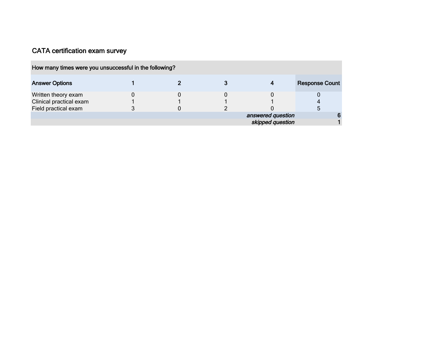| How many times were you unsuccessful in the following? |  |                                       |                       |
|--------------------------------------------------------|--|---------------------------------------|-----------------------|
| <b>Answer Options</b>                                  |  |                                       | <b>Response Count</b> |
| Written theory exam                                    |  |                                       |                       |
| Clinical practical exam<br>Field practical exam        |  |                                       |                       |
|                                                        |  | answered question<br>skipped question |                       |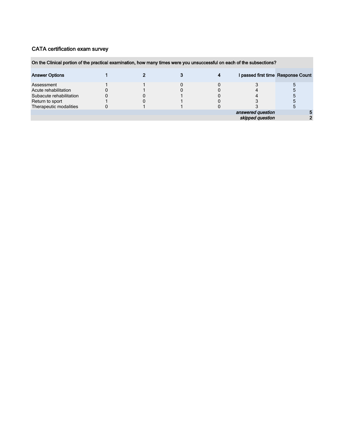### On the Clinical portion of the practical examination, how many times were you unsuccessful on each of the subsections?

| <b>Answer Options</b>   |  |  |                                       | I passed first time Response Count |
|-------------------------|--|--|---------------------------------------|------------------------------------|
| Assessment              |  |  |                                       |                                    |
| Acute rehabilitation    |  |  |                                       |                                    |
| Subacute rehabilitation |  |  |                                       |                                    |
| Return to sport         |  |  |                                       |                                    |
| Therapeutic modalities  |  |  |                                       |                                    |
|                         |  |  | answered question<br>skipped question |                                    |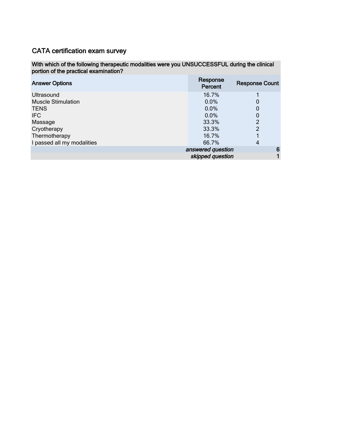### With which of the following therapeutic modalities were you UNSUCCESSFUL during the clinical portion of the practical examination?

| <b>Answer Options</b>      | Response<br>Percent | <b>Response Count</b> |
|----------------------------|---------------------|-----------------------|
| Ultrasound                 | 16.7%               |                       |
| <b>Muscle Stimulation</b>  | 0.0%                | 0                     |
| <b>TENS</b>                | 0.0%                | 0                     |
| IFC.                       | 0.0%                | 0                     |
| Massage                    | 33.3%               | 2                     |
| Cryotherapy                | 33.3%               | 2                     |
| Thermotherapy              | 16.7%               |                       |
| I passed all my modalities | 66.7%               | 4                     |
|                            | answered question   |                       |
|                            | skipped question    |                       |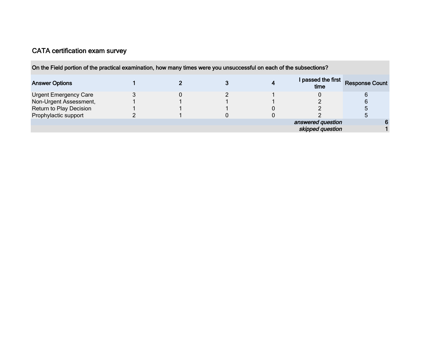| On the Field portion of the practical examination, how many times were you unsuccessful on each of the subsections? |  |  |                            |                       |
|---------------------------------------------------------------------------------------------------------------------|--|--|----------------------------|-----------------------|
| <b>Answer Options</b>                                                                                               |  |  | I passed the first<br>time | <b>Response Count</b> |
| <b>Urgent Emergency Care</b>                                                                                        |  |  |                            |                       |
| Non-Urgent Assessment,                                                                                              |  |  |                            |                       |
| Return to Play Decision                                                                                             |  |  |                            |                       |
| Prophylactic support                                                                                                |  |  |                            |                       |
|                                                                                                                     |  |  | answered question          |                       |
|                                                                                                                     |  |  | skipped question           |                       |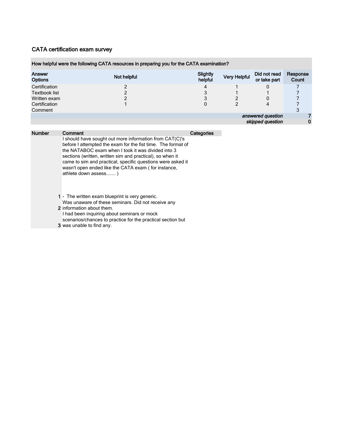|                          | How helpful were the following CATA resources in preparing you for the CATA examination? |                     |                     |                              |                   |
|--------------------------|------------------------------------------------------------------------------------------|---------------------|---------------------|------------------------------|-------------------|
| Answer<br><b>Options</b> | Not helpful                                                                              | Slightly<br>helpful | <b>Very Helpful</b> | Did not read<br>or take part | Response<br>Count |
| Certification            |                                                                                          | 4                   |                     | 0                            |                   |
| Textbook list            |                                                                                          | 3                   |                     |                              |                   |
| Written exam             |                                                                                          | 3                   |                     |                              |                   |
| Certification            |                                                                                          | 0                   | 2                   |                              |                   |
| Comment                  |                                                                                          |                     |                     |                              |                   |
|                          |                                                                                          |                     |                     | answered question            |                   |
|                          |                                                                                          |                     |                     | skipped question             | 0                 |
|                          |                                                                                          |                     |                     |                              |                   |

| <b>Number</b> | Comment                                                                                                                                                                                                                                                                                                                                                                                  | Categories |
|---------------|------------------------------------------------------------------------------------------------------------------------------------------------------------------------------------------------------------------------------------------------------------------------------------------------------------------------------------------------------------------------------------------|------------|
|               | I should have sought out more information from CAT(C)'s<br>before I attempted the exam for the fist time. The format of<br>the NATABOC exam when I took it was divided into 3<br>sections (written, written sim and practical), so when it<br>came to sim and practical, specific questions were asked it<br>wasn't open ended like the CATA exam (for instance,<br>athlete down assess) |            |
|               | 1 - The written exam blueprint is very generic.                                                                                                                                                                                                                                                                                                                                          |            |
|               | Was unaware of these seminars. Did not receive any                                                                                                                                                                                                                                                                                                                                       |            |
|               | 2 information about them                                                                                                                                                                                                                                                                                                                                                                 |            |

2 information about them. I had been inquiring about seminars or mock scenarios/chances to practice for the practical section but

3 was unable to find any.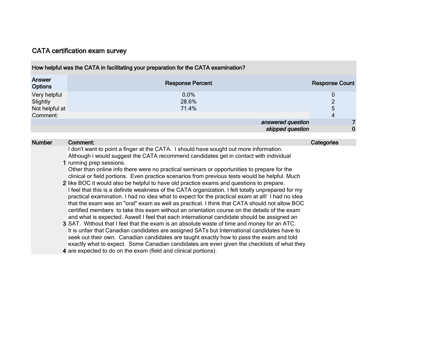| How helpful was the CATA in facilitating your preparation for the CATA examination? |                         |                       |  |  |  |  |
|-------------------------------------------------------------------------------------|-------------------------|-----------------------|--|--|--|--|
| Answer<br><b>Options</b>                                                            | <b>Response Percent</b> | <b>Response Count</b> |  |  |  |  |
| Very helpful                                                                        | $0.0\%$                 | 0                     |  |  |  |  |
| Slightly                                                                            | 28.6%                   | $\Omega$              |  |  |  |  |
| Not helpful at                                                                      | 71.4%                   | 5                     |  |  |  |  |
| Comment:                                                                            |                         | 4                     |  |  |  |  |
|                                                                                     | answered question       |                       |  |  |  |  |
|                                                                                     | skipped question        | 0                     |  |  |  |  |

| <b>Number</b> | Comment:                                                                                                                                                                                               | Categories |
|---------------|--------------------------------------------------------------------------------------------------------------------------------------------------------------------------------------------------------|------------|
|               | I don't want to point a finger at the CATA. I should have sought out more information.<br>Although i would suggest the CATA recommend candidates get in contact with individual                        |            |
|               | running prep sessions.                                                                                                                                                                                 |            |
|               | Other than online info there were no practical seminars or opportunities to prepare for the<br>clinical or field portions. Even practice scenarios from previous tests would be helpful. Much          |            |
|               | 2 like BOC it would also be helpful to have old practice exams and questions to prepare.                                                                                                               |            |
|               | I feel that this is a definite weakness of the CATA organization. I felt totally unprepared for my<br>practical examination. I had no idea what to expect for the practical exam at all! I had no idea |            |
|               | that the exam was an "oral" exam as well as practical. I think that CATA should not allow BOC                                                                                                          |            |
|               | certified members to take this exam without an orientation course on the details of the exam                                                                                                           |            |
|               | and what is expected. Aswell I feel that each international candidate should be assigned an                                                                                                            |            |
|               | 3 SAT. Without that I feel that the exam is an absolute waste of time and money for an ATC.                                                                                                            |            |
|               | It is unfair that Canadian candidates are assigned SATs but International candidates have to                                                                                                           |            |
|               | seek out their own. Canadian candidates are taught exactly how to pass the exam and told                                                                                                               |            |
|               | exactly what to expect. Some Canadian candidates are even given the checklists of what they                                                                                                            |            |
|               | 4 are expected to do on the exam (field and clinical portions).                                                                                                                                        |            |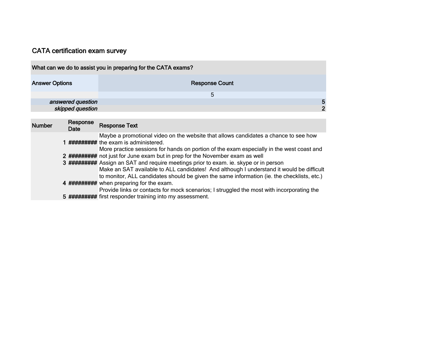|                       |                   | What can we do to assist you in preparing for the CATA exams?                                                                                                                                                                                                                                                                                                   |              |
|-----------------------|-------------------|-----------------------------------------------------------------------------------------------------------------------------------------------------------------------------------------------------------------------------------------------------------------------------------------------------------------------------------------------------------------|--------------|
| <b>Answer Options</b> |                   | <b>Response Count</b>                                                                                                                                                                                                                                                                                                                                           |              |
|                       |                   | 5                                                                                                                                                                                                                                                                                                                                                               |              |
|                       | answered question |                                                                                                                                                                                                                                                                                                                                                                 | 5            |
|                       | skipped question  |                                                                                                                                                                                                                                                                                                                                                                 | $\mathbf{2}$ |
|                       |                   |                                                                                                                                                                                                                                                                                                                                                                 |              |
| <b>Number</b>         | Response<br>Date  | <b>Response Text</b>                                                                                                                                                                                                                                                                                                                                            |              |
|                       |                   | Maybe a promotional video on the website that allows candidates a chance to see how<br>########## the exam is administered.<br>More practice sessions for hands on portion of the exam especially in the west coast and                                                                                                                                         |              |
|                       |                   | 2 ########## not just for June exam but in prep for the November exam as well<br>3 ######### Assign an SAT and require meetings prior to exam. ie. skype or in person<br>Make an SAT available to ALL candidates! And although I understand it would be difficult<br>to monitor, ALL candidates should be given the same information (ie. the checklists, etc.) |              |
|                       |                   | <b>######</b> when preparing for the exam.                                                                                                                                                                                                                                                                                                                      |              |

5 ######### Provide links or contacts for mock scenarios; I struggled the most with incorporating the first responder training into my assessment.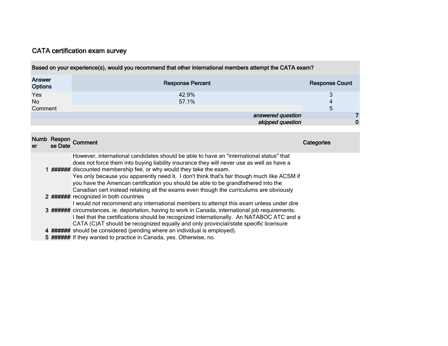| Based on your experience(s), would you recommend that other international members attempt the CATA exam? |                         |                       |  |  |  |
|----------------------------------------------------------------------------------------------------------|-------------------------|-----------------------|--|--|--|
| Answer<br><b>Options</b>                                                                                 | <b>Response Percent</b> | <b>Response Count</b> |  |  |  |
| Yes                                                                                                      | 42.9%                   |                       |  |  |  |
| No                                                                                                       | 57.1%                   | 4                     |  |  |  |
| Comment                                                                                                  |                         | 5                     |  |  |  |
|                                                                                                          | answered question       |                       |  |  |  |
|                                                                                                          | skipped question        | ŋ                     |  |  |  |
|                                                                                                          |                         |                       |  |  |  |

| <b>Numb</b><br>er | se Date | Respon Comment                                                                                                                                                                                                                                                                                                                                                                                                                                                                                                                               | Categories |
|-------------------|---------|----------------------------------------------------------------------------------------------------------------------------------------------------------------------------------------------------------------------------------------------------------------------------------------------------------------------------------------------------------------------------------------------------------------------------------------------------------------------------------------------------------------------------------------------|------------|
|                   |         | However, international candidates should be able to have an "international status" that<br>does not force them into buying liability insurance they will never use as well as have a<br>1 ###### discounted membership fee, or why would they take the exam.<br>Yes only because you apparently need it. I don't think that's fair though much like ACSM if<br>you have the American certification you should be able to be grandfathered into the<br>Canadian cert instead retaking all the exams even though the curriculums are obviously |            |
|                   |         | 2 ###### recognized in both countries<br>I would not recommend any international members to attempt this exam unless under dire                                                                                                                                                                                                                                                                                                                                                                                                              |            |
|                   |         | 3 ####### circumstances. ie. deportation, having to work in Canada, international job requirements.<br>I feel that the certifications should be recognized internationally. An NATABOC ATC and a<br>CATA (C)AT should be recognized equally and only provincial/state specific licensure                                                                                                                                                                                                                                                     |            |
|                   |         | 4 ###### should be considered (pending where an individual is employed).                                                                                                                                                                                                                                                                                                                                                                                                                                                                     |            |
|                   |         | 5 ###### If they wanted to practice in Canada, yes. Otherwise, no.                                                                                                                                                                                                                                                                                                                                                                                                                                                                           |            |